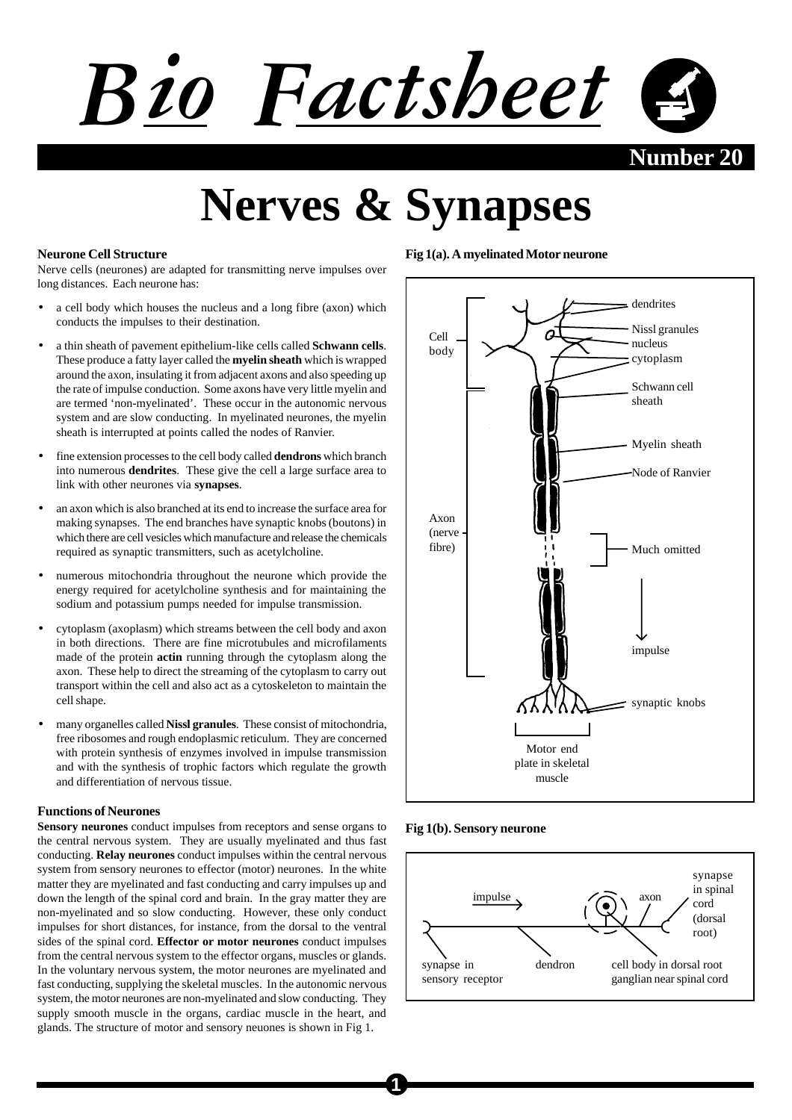

**Nerves & Synapses**

### **Neurone Cell Structure**

Nerve cells (neurones) are adapted for transmitting nerve impulses over long distances. Each neurone has:

- a cell body which houses the nucleus and a long fibre (axon) which conducts the impulses to their destination.
- a thin sheath of pavement epithelium-like cells called **Schwann cells**. These produce a fatty layer called the **myelin sheath** which is wrapped around the axon, insulating it from adjacent axons and also speeding up the rate of impulse conduction. Some axons have very little myelin and are termed 'non-myelinated'. These occur in the autonomic nervous system and are slow conducting. In myelinated neurones, the myelin sheath is interrupted at points called the nodes of Ranvier.
- fine extension processes to the cell body called **dendrons** which branch into numerous **dendrites**. These give the cell a large surface area to link with other neurones via **synapses**.
- an axon which is also branched at its end to increase the surface area for making synapses. The end branches have synaptic knobs (boutons) in which there are cell vesicles which manufacture and release the chemicals required as synaptic transmitters, such as acetylcholine.
- numerous mitochondria throughout the neurone which provide the energy required for acetylcholine synthesis and for maintaining the sodium and potassium pumps needed for impulse transmission.
- cytoplasm (axoplasm) which streams between the cell body and axon in both directions. There are fine microtubules and microfilaments made of the protein **actin** running through the cytoplasm along the axon. These help to direct the streaming of the cytoplasm to carry out transport within the cell and also act as a cytoskeleton to maintain the cell shape.
- many organelles called **Nissl granules**. These consist of mitochondria, free ribosomes and rough endoplasmic reticulum. They are concerned with protein synthesis of enzymes involved in impulse transmission and with the synthesis of trophic factors which regulate the growth and differentiation of nervous tissue.

#### **Functions of Neurones**

**Sensory neurones** conduct impulses from receptors and sense organs to the central nervous system. They are usually myelinated and thus fast conducting. **Relay neurones** conduct impulses within the central nervous system from sensory neurones to effector (motor) neurones. In the white matter they are myelinated and fast conducting and carry impulses up and down the length of the spinal cord and brain. In the gray matter they are non-myelinated and so slow conducting. However, these only conduct impulses for short distances, for instance, from the dorsal to the ventral sides of the spinal cord. **Effector or motor neurones** conduct impulses from the central nervous system to the effector organs, muscles or glands. In the voluntary nervous system, the motor neurones are myelinated and fast conducting, supplying the skeletal muscles. In the autonomic nervous system, the motor neurones are non-myelinated and slow conducting. They supply smooth muscle in the organs, cardiac muscle in the heart, and glands. The structure of motor and sensory neuones is shown in Fig 1.

## **Fig 1(a). A myelinated Motor neurone**



**Fig 1(b). Sensory neurone**

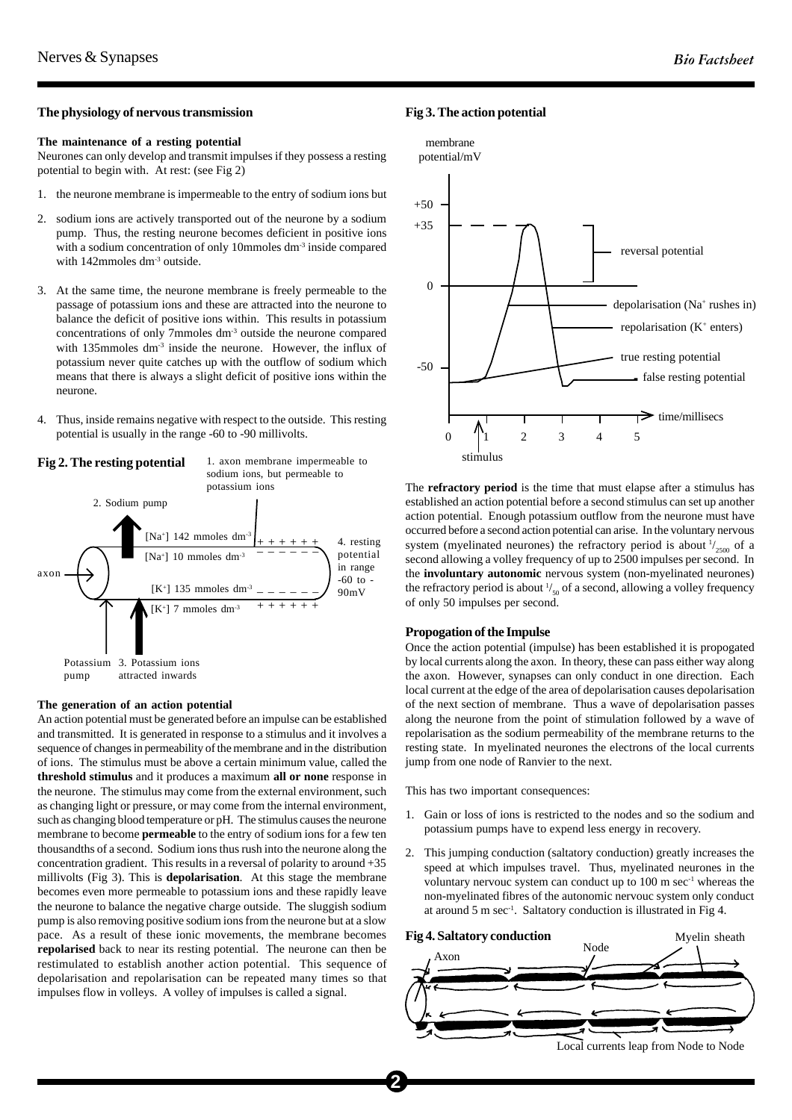#### **The physiology of nervous transmission**

### **The maintenance of a resting potential**

Neurones can only develop and transmit impulses if they possess a resting potential to begin with. At rest: (see Fig 2)

- 1. the neurone membrane is impermeable to the entry of sodium ions but
- 2. sodium ions are actively transported out of the neurone by a sodium pump. Thus, the resting neurone becomes deficient in positive ions with a sodium concentration of only 10mmoles dm<sup>-3</sup> inside compared with 142mmoles dm<sup>-3</sup> outside.
- 3. At the same time, the neurone membrane is freely permeable to the passage of potassium ions and these are attracted into the neurone to balance the deficit of positive ions within. This results in potassium concentrations of only 7mmoles dm-3 outside the neurone compared with 135mmoles dm<sup>-3</sup> inside the neurone. However, the influx of potassium never quite catches up with the outflow of sodium which means that there is always a slight deficit of positive ions within the neurone.
- 4. Thus, inside remains negative with respect to the outside. This resting potential is usually in the range -60 to -90 millivolts.



#### **The generation of an action potential**

An action potential must be generated before an impulse can be established and transmitted. It is generated in response to a stimulus and it involves a sequence of changes in permeability of the membrane and in the distribution of ions. The stimulus must be above a certain minimum value, called the **threshold stimulus** and it produces a maximum **all or none** response in the neurone. The stimulus may come from the external environment, such as changing light or pressure, or may come from the internal environment, such as changing blood temperature or pH. The stimulus causes the neurone membrane to become **permeable** to the entry of sodium ions for a few ten thousandths of a second. Sodium ions thus rush into the neurone along the concentration gradient. This results in a reversal of polarity to around  $+35$ millivolts (Fig 3). This is **depolarisation**. At this stage the membrane becomes even more permeable to potassium ions and these rapidly leave the neurone to balance the negative charge outside. The sluggish sodium pump is also removing positive sodium ions from the neurone but at a slow pace. As a result of these ionic movements, the membrane becomes **repolarised** back to near its resting potential. The neurone can then be restimulated to establish another action potential. This sequence of depolarisation and repolarisation can be repeated many times so that impulses flow in volleys. A volley of impulses is called a signal.

## **Fig 3. The action potential**



The **refractory period** is the time that must elapse after a stimulus has established an action potential before a second stimulus can set up another action potential. Enough potassium outflow from the neurone must have occurred before a second action potential can arise. In the voluntary nervous system (myelinated neurones) the refractory period is about  $\frac{1}{2500}$  of a second allowing a volley frequency of up to 2500 impulses per second. In the **involuntary autonomic** nervous system (non-myelinated neurones) the refractory period is about  $\frac{1}{50}$  of a second, allowing a volley frequency of only 50 impulses per second.

#### **Propogation of the Impulse**

Once the action potential (impulse) has been established it is propogated by local currents along the axon. In theory, these can pass either way along the axon. However, synapses can only conduct in one direction. Each local current at the edge of the area of depolarisation causes depolarisation of the next section of membrane. Thus a wave of depolarisation passes along the neurone from the point of stimulation followed by a wave of repolarisation as the sodium permeability of the membrane returns to the resting state. In myelinated neurones the electrons of the local currents jump from one node of Ranvier to the next.

This has two important consequences:

- 1. Gain or loss of ions is restricted to the nodes and so the sodium and potassium pumps have to expend less energy in recovery.
- 2. This jumping conduction (saltatory conduction) greatly increases the speed at which impulses travel. Thus, myelinated neurones in the voluntary nervouc system can conduct up to  $100 \text{ m} \text{ sec}^{-1}$  whereas the non-myelinated fibres of the autonomic nervouc system only conduct at around 5 m sec-1. Saltatory conduction is illustrated in Fig 4.



Local currents leap from Node to Node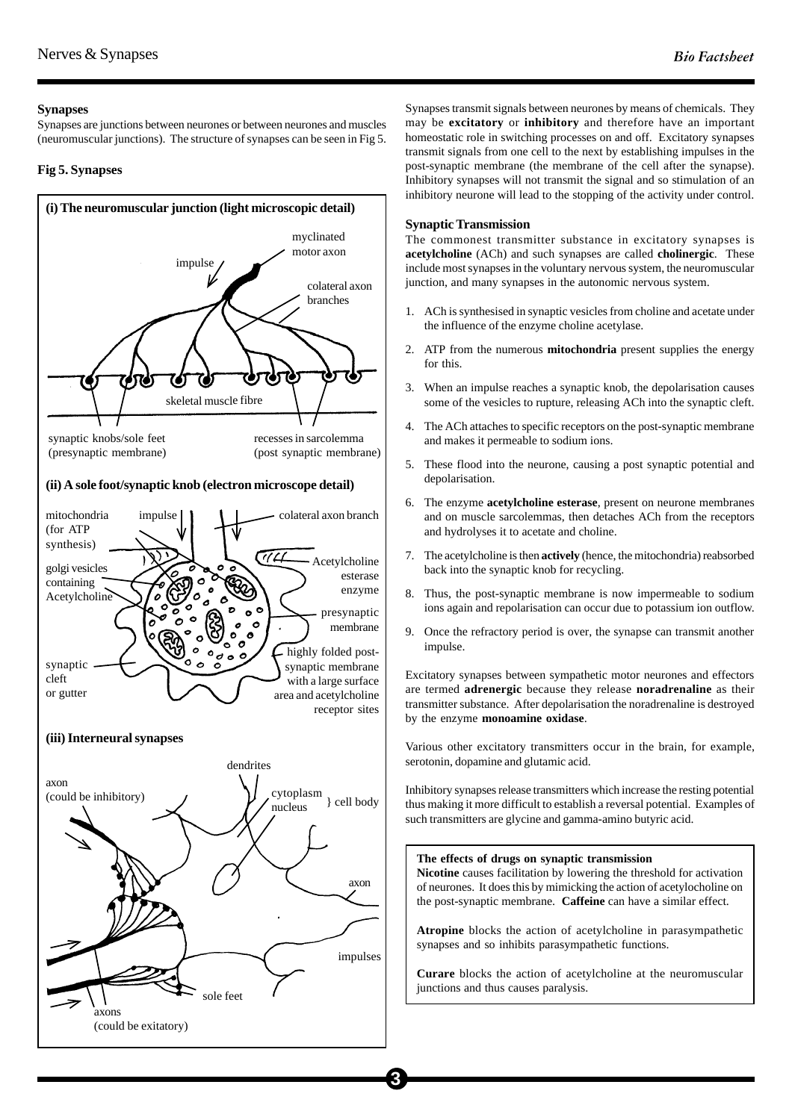# **Synapses**

Synapses are junctions between neurones or between neurones and muscles (neuromuscular junctions). The structure of synapses can be seen in Fig 5.

# **Fig 5. Synapses**



Synapses transmit signals between neurones by means of chemicals. They may be **excitatory** or **inhibitory** and therefore have an important homeostatic role in switching processes on and off. Excitatory synapses transmit signals from one cell to the next by establishing impulses in the post-synaptic membrane (the membrane of the cell after the synapse). Inhibitory synapses will not transmit the signal and so stimulation of an inhibitory neurone will lead to the stopping of the activity under control.

# **Synaptic Transmission**

The commonest transmitter substance in excitatory synapses is **acetylcholine** (ACh) and such synapses are called **cholinergic**. These include most synapses in the voluntary nervous system, the neuromuscular junction, and many synapses in the autonomic nervous system.

- 1. ACh is synthesised in synaptic vesicles from choline and acetate under the influence of the enzyme choline acetylase.
- 2. ATP from the numerous **mitochondria** present supplies the energy for this.
- 3. When an impulse reaches a synaptic knob, the depolarisation causes some of the vesicles to rupture, releasing ACh into the synaptic cleft.
- 4. The ACh attaches to specific receptors on the post-synaptic membrane and makes it permeable to sodium ions.
- 5. These flood into the neurone, causing a post synaptic potential and depolarisation.
- 6. The enzyme **acetylcholine esterase**, present on neurone membranes and on muscle sarcolemmas, then detaches ACh from the receptors and hydrolyses it to acetate and choline.
- 7. The acetylcholine is then **actively** (hence, the mitochondria) reabsorbed back into the synaptic knob for recycling.
- 8. Thus, the post-synaptic membrane is now impermeable to sodium ions again and repolarisation can occur due to potassium ion outflow.
- 9. Once the refractory period is over, the synapse can transmit another impulse.

Excitatory synapses between sympathetic motor neurones and effectors are termed **adrenergic** because they release **noradrenaline** as their transmitter substance. After depolarisation the noradrenaline is destroyed by the enzyme **monoamine oxidase**.

Various other excitatory transmitters occur in the brain, for example, serotonin, dopamine and glutamic acid.

Inhibitory synapses release transmitters which increase the resting potential thus making it more difficult to establish a reversal potential. Examples of such transmitters are glycine and gamma-amino butyric acid.

### **The effects of drugs on synaptic transmission**

**3**

**Nicotine** causes facilitation by lowering the threshold for activation of neurones. It does this by mimicking the action of acetylocholine on the post-synaptic membrane. **Caffeine** can have a similar effect.

**Atropine** blocks the action of acetylcholine in parasympathetic synapses and so inhibits parasympathetic functions.

**Curare** blocks the action of acetylcholine at the neuromuscular junctions and thus causes paralysis.